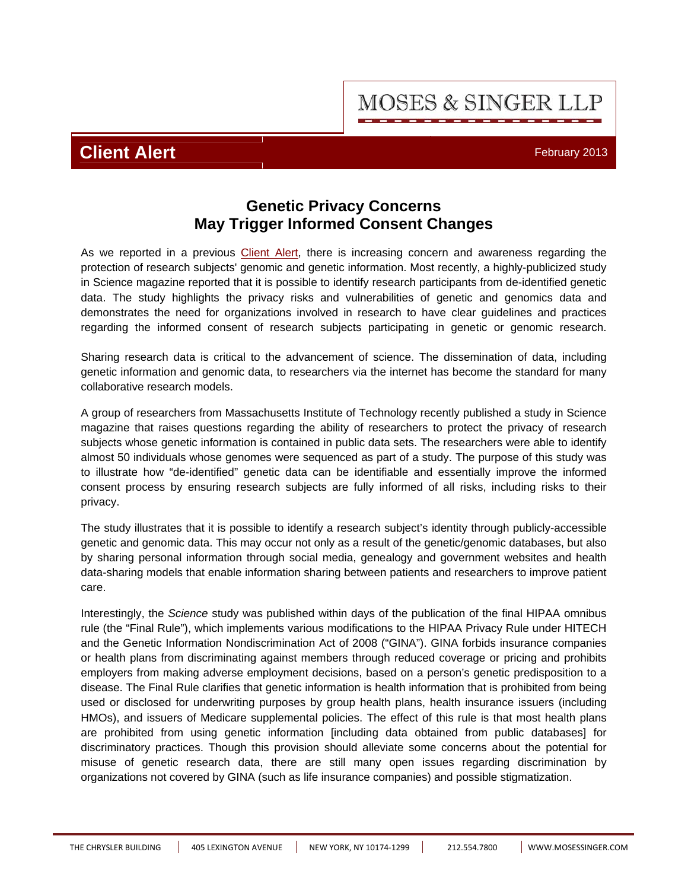**MOSES & SINGER LLP** 

# **Client Alert** February 2013

## **Genetic Privacy Concerns May Trigger Informed Consent Changes**

As we reported in a previous [Client Alert](http://www.mosessinger.com/articles/files/ALERTGenomicPrivacyPolicyReportRecommendsChangestoInformedConsentProcess.pdf), there is increasing concern and awareness regarding the protection of research subjects' genomic and genetic information. Most recently, a highly-publicized study in Science magazine reported that it is possible to identify research participants from de-identified genetic data. The study highlights the privacy risks and vulnerabilities of genetic and genomics data and demonstrates the need for organizations involved in research to have clear guidelines and practices regarding the informed consent of research subjects participating in genetic or genomic research.

Sharing research data is critical to the advancement of science. The dissemination of data, including genetic information and genomic data, to researchers via the internet has become the standard for many collaborative research models.

A group of researchers from Massachusetts Institute of Technology recently published a study in Science magazine that raises questions regarding the ability of researchers to protect the privacy of research subjects whose genetic information is contained in public data sets. The researchers were able to identify almost 50 individuals whose genomes were sequenced as part of a study. The purpose of this study was to illustrate how "de-identified" genetic data can be identifiable and essentially improve the informed consent process by ensuring research subjects are fully informed of all risks, including risks to their privacy.

The study illustrates that it is possible to identify a research subject's identity through publicly-accessible genetic and genomic data. This may occur not only as a result of the genetic/genomic databases, but also by sharing personal information through social media, genealogy and government websites and health data-sharing models that enable information sharing between patients and researchers to improve patient care.

Interestingly, the *Science* study was published within days of the publication of the final HIPAA omnibus rule (the "Final Rule"), which implements various modifications to the HIPAA Privacy Rule under HITECH and the Genetic Information Nondiscrimination Act of 2008 ("GINA"). GINA forbids insurance companies or health plans from discriminating against members through reduced coverage or pricing and prohibits employers from making adverse employment decisions, based on a person's genetic predisposition to a disease. The Final Rule clarifies that genetic information is health information that is prohibited from being used or disclosed for underwriting purposes by group health plans, health insurance issuers (including HMOs), and issuers of Medicare supplemental policies. The effect of this rule is that most health plans are prohibited from using genetic information [including data obtained from public databases] for discriminatory practices. Though this provision should alleviate some concerns about the potential for misuse of genetic research data, there are still many open issues regarding discrimination by organizations not covered by GINA (such as life insurance companies) and possible stigmatization.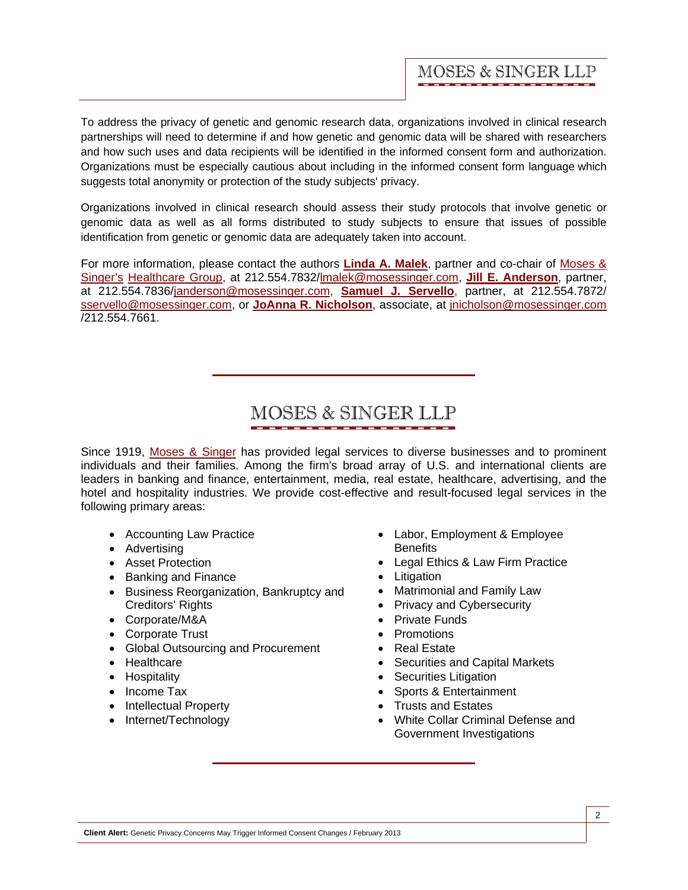To address the privacy of genetic and genomic research data, organizations involved in clinical research partnerships will need to determine if and how genetic and genomic data will be shared with researchers and how such uses and data recipients will be identified in the informed consent form and authorization. Organizations must be especially cautious about including in the informed consent form language which suggests total anonymity or protection of the study subjects' privacy.

Organizations involved in clinical research should assess their study protocols that involve genetic or genomic data as well as all forms distributed to study subjects to ensure that issues of possible identification from genetic or genomic data are adequately taken into account.

For more information, please contact the authors **[Linda A. Malek](http://www.mosessinger.com/personnel/lmalek/)**, partner and co-chair of Moses & [Singer's Healthcare Group, at 212.554.7832/lmalek@mosessinger.com,](http://www.mosessinger.com/) **[Jill E. Anderson](http://www.mosessinger.com/personnel/janderson/)**, partner, at 212.554.7836/janderson@mosessinger.com, **[Samuel J. Servello](http://www.mosessinger.com/personnel/sservello/)**, partner, at 212.554.7872/ sservello@mosessinger.com, or **[JoAnna R. Nicholson](http://www.mosessinger.com/personnel/jnicholson/)**, associate, at jnicholson@mosessinger.com /212.554.7661.

# MOSES & SINGER LLP

Since 1919, [Moses & Singer](http://www.mosessinger.com/) has provided legal services to diverse businesses and to prominent individuals and their families. Among the firm's broad array of U.S. and international clients are leaders in banking and finance, entertainment, media, real estate, healthcare, advertising, and the hotel and hospitality industries. We provide cost-effective and result-focused legal services in the following primary areas:

- Accounting Law Practice
- Advertising
- Asset Protection
- Banking and Finance
- Business Reorganization, Bankruptcy and Creditors' Rights
- Corporate/M&A
- Corporate Trust
- Global Outsourcing and Procurement
- Healthcare
- Hospitality
- Income Tax
- Intellectual Property
- Internet/Technology
- Labor, Employment & Employee **Benefits**
- Legal Ethics & Law Firm Practice
- Litigation
- Matrimonial and Family Law
- Privacy and Cybersecurity
- Private Funds
- Promotions
- Real Estate
- Securities and Capital Markets
- Securities Litigation
- Sports & Entertainment
- Trusts and Estates
- White Collar Criminal Defense and Government Investigations